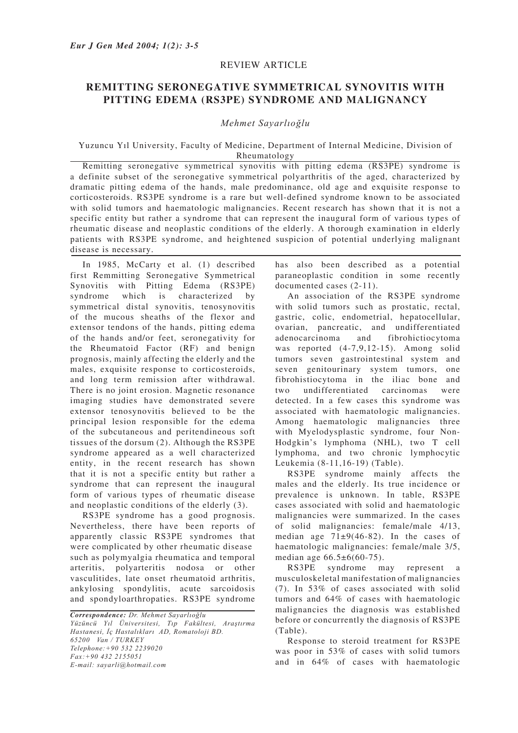## REVIEW ARTICLE

## **REMITTING SERONEGATIVE SYMMETRICAL SYNOVITIS WITH PITTING EDEMA (RS3PE) SYNDROME AND MALIGNANCY**

## *Mehmet Sayarlıoğlu*

Yuzuncu Yıl University, Faculty of Medicine, Department of Internal Medicine, Division of Rheumatology

Remitting seronegative symmetrical synovitis with pitting edema (RS3PE) syndrome is a definite subset of the seronegative symmetrical polyarthritis of the aged, characterized by dramatic pitting edema of the hands, male predominance, old age and exquisite response to corticosteroids. RS3PE syndrome is a rare but well-defined syndrome known to be associated with solid tumors and haematologic malignancies. Recent research has shown that it is not a specific entity but rather a syndrome that can represent the inaugural form of various types of rheumatic disease and neoplastic conditions of the elderly. A thorough examination in elderly patients with RS3PE syndrome, and heightened suspicion of potential underlying malignant disease is necessary.

In 1985, McCarty et al. (1) described first Remmitting Seronegative Symmetrical Synovitis with Pitting Edema (RS3PE) syndrome which is characterized by symmetrical distal synovitis, tenosynovitis of the mucous sheaths of the flexor and extensor tendons of the hands, pitting edema of the hands and/or feet, seronegativity for the Rheumatoid Factor (RF) and benign prognosis, mainly affecting the elderly and the males, exquisite response to corticosteroids, and long term remission after withdrawal. There is no joint erosion. Magnetic resonance imaging studies have demonstrated severe extensor tenosynovitis believed to be the principal lesion responsible for the edema of the subcutaneous and peritendineous soft tissues of the dorsum (2). Although the RS3PE syndrome appeared as a well characterized entity, in the recent research has shown that it is not a specific entity but rather a syndrome that can represent the inaugural form of various types of rheumatic disease and neoplastic conditions of the elderly (3).

RS3PE syndrome has a good prognosis. Nevertheless, there have been reports of apparently classic RS3PE syndromes that were complicated by other rheumatic disease such as polymyalgia rheumatica and temporal arteritis, polyarteritis nodosa or other vasculitides, late onset rheumatoid arthritis, ankylosing spondylitis, acute sarcoidosis and spondyloarthropaties. RS3PE syndrome

*Correspondence: Dr. Mehmet Sayarlıoğlu Yüzüncü Yıl Üniversitesi, Tıp Fakültesi, Araştırma Hastanesi, İç Hastalıkları AD, Romatoloji BD. 65200 Van / TURKEY Telephone:+90 532 2239020 Fax:+90 432 2155051 E-mail: sayarli@hotmail.com*

has also been described as a potential paraneoplastic condition in some recently documented cases (2-11).

An association of the RS3PE syndrome with solid tumors such as prostatic, rectal, gastric, colic, endometrial, hepatocellular, ovarian, pancreatic, and undifferentiated adenocarcinoma and fibrohictiocytoma was reported (4-7,9,12-15). Among solid tumors seven gastrointestinal system and seven genitourinary system tumors, one fibrohistiocytoma in the iliac bone and two undifferentiated carcinomas were detected. In a few cases this syndrome was associated with haematologic malignancies. Among haematologic malignancies three with Myelodysplastic syndrome, four Non-Hodgkin's lymphoma (NHL), two T cell lymphoma, and two chronic lymphocytic Leukemia (8-11,16-19) (Table).

RS3PE syndrome mainly affects the males and the elderly. Its true incidence or prevalence is unknown. In table, RS3PE cases associated with solid and haematologic malignancies were summarized. In the cases of solid malignancies: female/male 4/13, median age  $71\pm9(46-82)$ . In the cases of haematologic malignancies: female/male 3/5, median age 66.5±6(60-75).

RS3PE syndrome may represent a musculoskeletal manifestation of malignancies (7). In 53% of cases associated with solid tumors and 64% of cases with haematologic malignancies the diagnosis was established before or concurrently the diagnosis of RS3PE (Table).

Response to steroid treatment for RS3PE was poor in 53% of cases with solid tumors and in 64% of cases with haematologic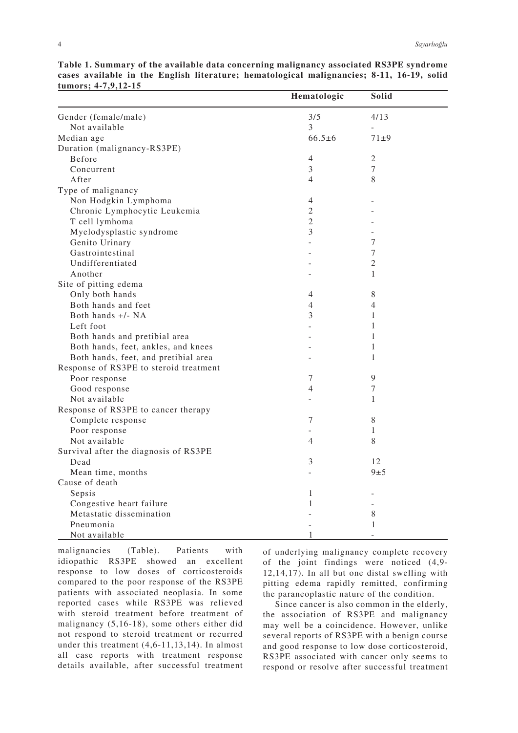|                                        | Hematologic              | Solid          |
|----------------------------------------|--------------------------|----------------|
| Gender (female/male)                   | 3/5                      | 4/13           |
| Not available                          | 3                        | $\blacksquare$ |
| Median age                             | $66.5 \pm 6$             | $71 + 9$       |
| Duration (malignancy-RS3PE)            |                          |                |
| Before                                 | 4                        | 2              |
| Concurrent                             | 3                        | 7              |
| After                                  | $\overline{4}$           | 8              |
| Type of malignancy                     |                          |                |
| Non Hodgkin Lymphoma                   | 4                        |                |
| Chronic Lymphocytic Leukemia           | $\overline{2}$           |                |
| T cell lymhoma                         | $\overline{2}$           |                |
| Myelodysplastic syndrome               | 3                        |                |
| Genito Urinary                         |                          | 7              |
| Gastrointestinal                       |                          | 7              |
| Undifferentiated                       |                          | $\overline{2}$ |
| Another                                |                          | 1              |
| Site of pitting edema                  |                          |                |
| Only both hands                        | 4                        | 8              |
| Both hands and feet                    | 4                        | 4              |
| Both hands +/- NA                      | 3                        | $\mathbf{1}$   |
| Left foot                              |                          | 1              |
| Both hands and pretibial area          |                          | 1              |
| Both hands, feet, ankles, and knees    |                          | $\mathbf{1}$   |
| Both hands, feet, and pretibial area   |                          | 1              |
| Response of RS3PE to steroid treatment |                          |                |
| Poor response                          | 7                        | $\overline{9}$ |
| Good response                          | $\overline{4}$           | 7              |
| Not available                          | $\overline{\phantom{0}}$ | 1              |
| Response of RS3PE to cancer therapy    |                          |                |
| Complete response                      | 7                        | 8              |
| Poor response                          |                          | 1              |
| Not available                          | 4                        | 8              |
| Survival after the diagnosis of RS3PE  |                          |                |
| Dead                                   | 3                        | 12             |
| Mean time, months                      |                          | 9±5            |
| Cause of death                         |                          |                |
| Sepsis                                 | 1                        |                |
| Congestive heart failure               | $\mathbf{1}$             |                |
| Metastatic dissemination               |                          | 8              |
| Pneumonia                              |                          | $\mathbf{1}$   |
| Not available                          | $\mathbf{1}$             |                |

**Table 1. Summary of the available data concerning malignancy associated RS3PE syndrome cases available in the English literature; hematological malignancies; 8-11, 16-19, solid tumors; 4-7,9,12-15**

malignancies (Table). Patients with idiopathic RS3PE showed an excellent response to low doses of corticosteroids compared to the poor response of the RS3PE patients with associated neoplasia. In some reported cases while RS3PE was relieved with steroid treatment before treatment of malignancy (5,16-18), some others either did not respond to steroid treatment or recurred under this treatment (4,6-11,13,14). In almost all case reports with treatment response details available, after successful treatment

of underlying malignancy complete recovery of the joint findings were noticed (4,9- 12,14,17). In all but one distal swelling with pitting edema rapidly remitted, confirming the paraneoplastic nature of the condition.

Since cancer is also common in the elderly, the association of RS3PE and malignancy may well be a coincidence. However, unlike several reports of RS3PE with a benign course and good response to low dose corticosteroid, RS3PE associated with cancer only seems to respond or resolve after successful treatment